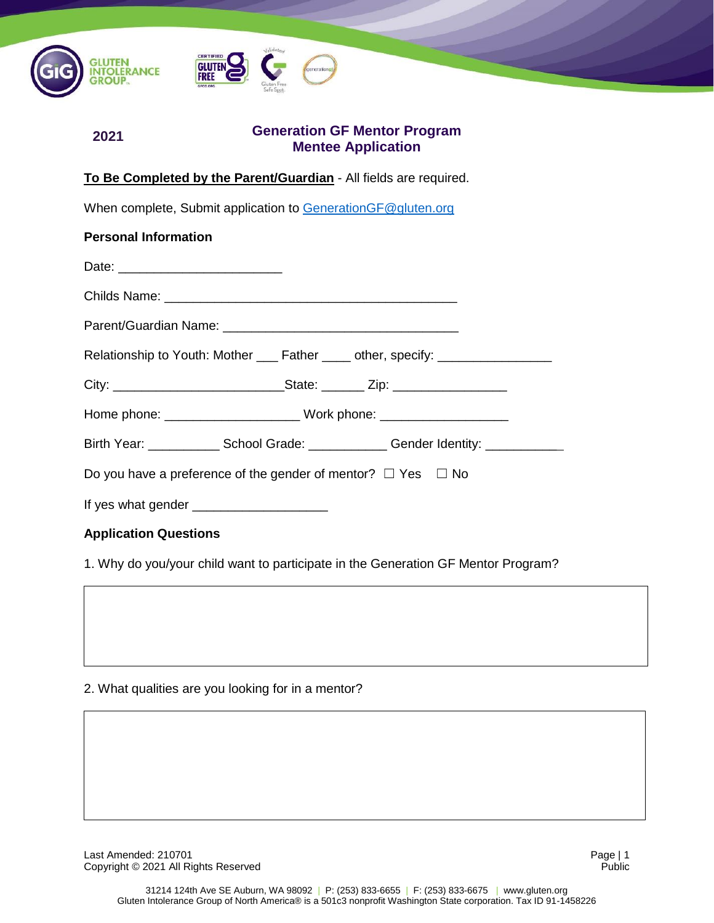

# **Generation GF Mentor Program Mentee Application**

#### **To Be Completed by the Parent/Guardian** - All fields are required.

When complete, Submit application to [GenerationGF@gluten.org](mailto:GenerationGF@gluten.org)

| <b>Personal Information</b>                                                       |  |  |  |
|-----------------------------------------------------------------------------------|--|--|--|
| Date: _____________________________                                               |  |  |  |
|                                                                                   |  |  |  |
|                                                                                   |  |  |  |
| Relationship to Youth: Mother ____ Father ____ other, specify: _________________  |  |  |  |
|                                                                                   |  |  |  |
|                                                                                   |  |  |  |
| Birth Year: ______________School Grade: _____________Gender Identity: ___________ |  |  |  |
| Do you have a preference of the gender of mentor? $\Box$ Yes $\Box$ No            |  |  |  |
|                                                                                   |  |  |  |
|                                                                                   |  |  |  |

**Application Questions**

**2021**

1. Why do you/your child want to participate in the Generation GF Mentor Program?

#### 2. What qualities are you looking for in a mentor?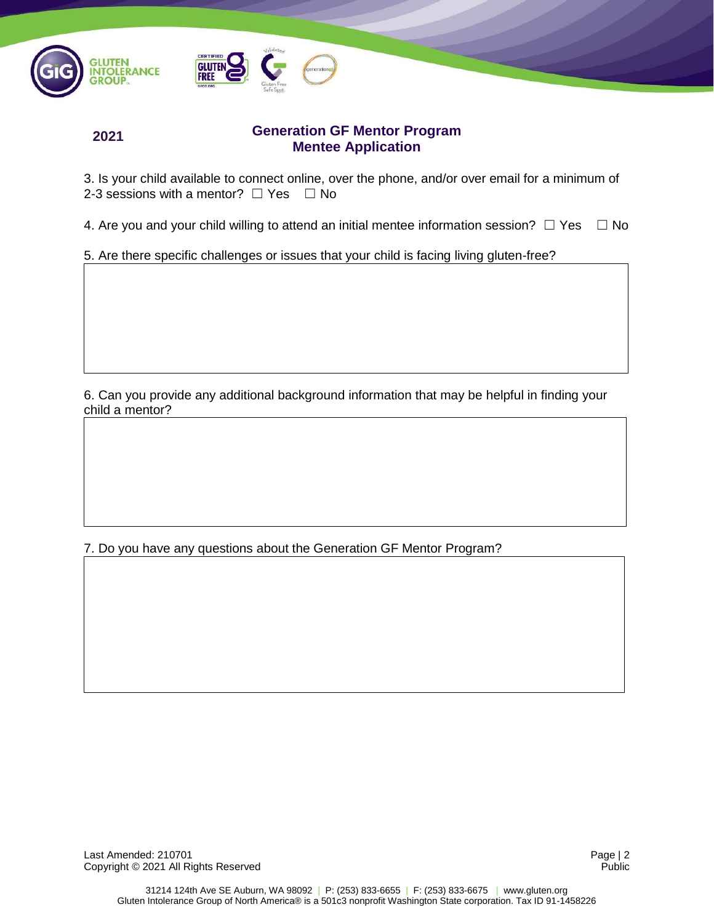



**2021**

# **Generation GF Mentor Program Mentee Application**

3. Is your child available to connect online, over the phone, and/or over email for a minimum of 2-3 sessions with a mentor?  $\Box$  Yes  $\Box$  No

4. Are you and your child willing to attend an initial mentee information session?  $\Box$  Yes  $\Box$  No

5. Are there specific challenges or issues that your child is facing living gluten-free?

6. Can you provide any additional background information that may be helpful in finding your child a mentor?

7. Do you have any questions about the Generation GF Mentor Program?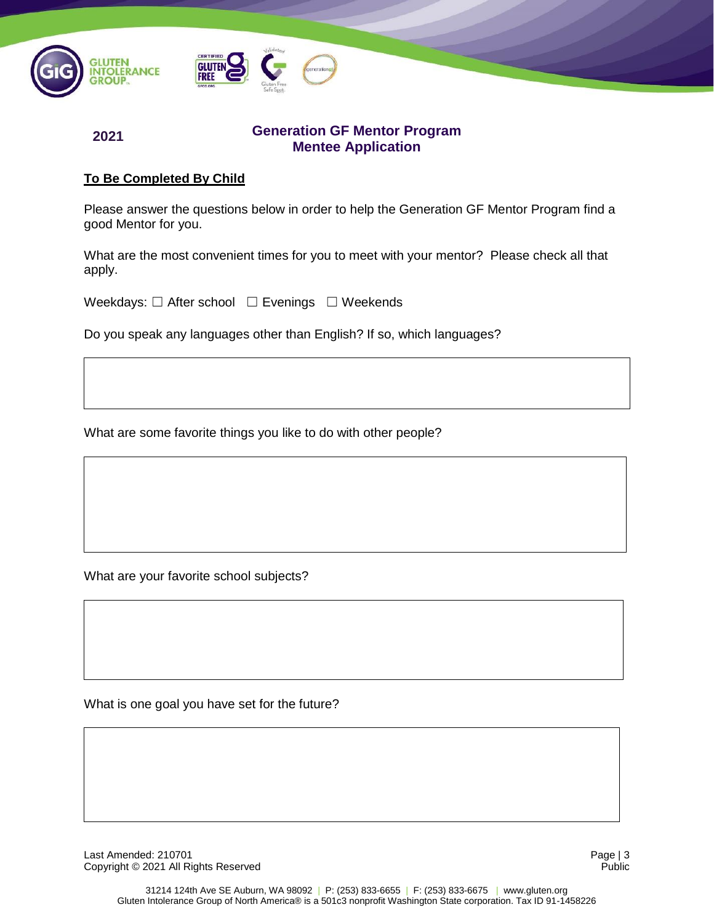



**2021**

### **Generation GF Mentor Program Mentee Application**

# **To Be Completed By Child**

Please answer the questions below in order to help the Generation GF Mentor Program find a good Mentor for you.

What are the most convenient times for you to meet with your mentor? Please check all that apply.

Weekdays: □ After school □ Evenings □ Weekends

Do you speak any languages other than English? If so, which languages?

What are some favorite things you like to do with other people?

What are your favorite school subjects?

What is one goal you have set for the future?

Last Amended: 210701 Page | 3 Copyright © 2021 All Rights Reserved Public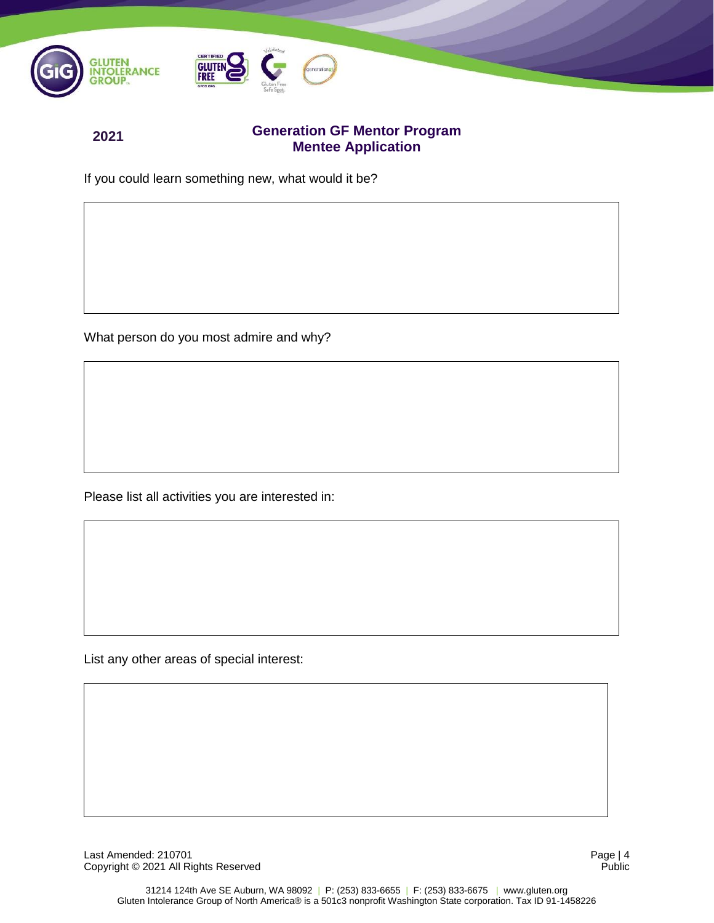

### **Generation GF Mentor Program Mentee Application**

If you could learn something new, what would it be?

**2021**

What person do you most admire and why?

Please list all activities you are interested in:

List any other areas of special interest:

Last Amended: 210701 Page | 4<br>
Copyright © 2021 All Rights Reserved **Public** Public Copyright © 2021 All Rights Reserved